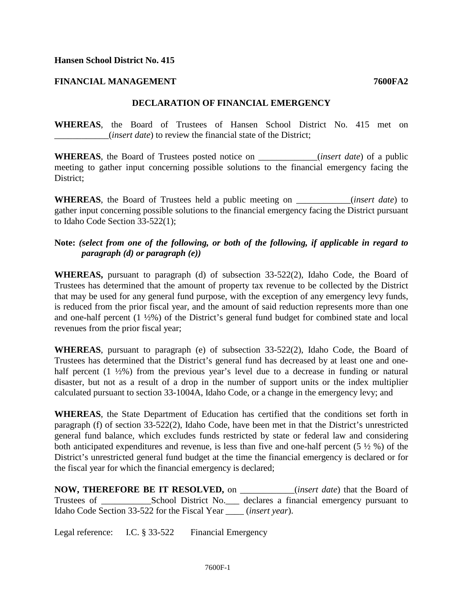## **Hansen School District No. 415**

## **FINANCIAL MANAGEMENT 7600FA2**

## **DECLARATION OF FINANCIAL EMERGENCY**

**WHEREAS**, the Board of Trustees of Hansen School District No. 415 met on \_\_\_\_\_\_\_\_\_\_\_\_(*insert date*) to review the financial state of the District;

**WHEREAS**, the Board of Trustees posted notice on \_\_\_\_\_\_\_\_\_\_\_\_\_(*insert date*) of a public meeting to gather input concerning possible solutions to the financial emergency facing the District:

**WHEREAS**, the Board of Trustees held a public meeting on \_\_\_\_\_\_\_\_\_\_\_\_(*insert date*) to gather input concerning possible solutions to the financial emergency facing the District pursuant to Idaho Code Section 33-522(1);

## **Note:** *(select from one of the following, or both of the following, if applicable in regard to paragraph (d) or paragraph (e))*

**WHEREAS,** pursuant to paragraph (d) of subsection 33-522(2), Idaho Code, the Board of Trustees has determined that the amount of property tax revenue to be collected by the District that may be used for any general fund purpose, with the exception of any emergency levy funds, is reduced from the prior fiscal year, and the amount of said reduction represents more than one and one-half percent (1 ½%) of the District's general fund budget for combined state and local revenues from the prior fiscal year;

**WHEREAS**, pursuant to paragraph (e) of subsection 33-522(2), Idaho Code, the Board of Trustees has determined that the District's general fund has decreased by at least one and onehalf percent (1  $\frac{1}{2\%}$ ) from the previous year's level due to a decrease in funding or natural disaster, but not as a result of a drop in the number of support units or the index multiplier calculated pursuant to section 33-1004A, Idaho Code, or a change in the emergency levy; and

**WHEREAS**, the State Department of Education has certified that the conditions set forth in paragraph (f) of section 33-522(2), Idaho Code, have been met in that the District's unrestricted general fund balance, which excludes funds restricted by state or federal law and considering both anticipated expenditures and revenue, is less than five and one-half percent  $(5 \frac{1}{2} \%)$  of the District's unrestricted general fund budget at the time the financial emergency is declared or for the fiscal year for which the financial emergency is declared;

**NOW, THEREFORE BE IT RESOLVED,** on \_\_\_\_\_\_\_\_\_\_\_\_(*insert date*) that the Board of Trustees of \_\_\_\_\_\_\_\_\_\_\_School District No.\_\_\_ declares a financial emergency pursuant to Idaho Code Section 33-522 for the Fiscal Year \_\_\_\_ (*insert year*).

Legal reference: I.C. § 33-522 Financial Emergency